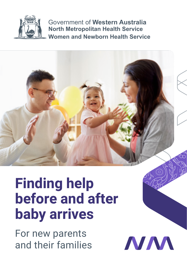

Government of **Western Australia North Metropolitan Health Service Women and Newborn Health Service**



**NAA** 

# **Finding help before and after baby arrives**

For new parents and their families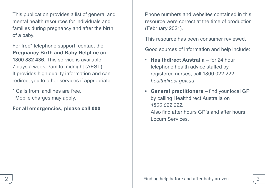This publication provides a list of general and mental health resources for individuals and families during pregnancy and after the birth of a baby.

For free\* telephone support, contact the **Pregnancy Birth and Baby Helpline** on **1800 882 436**. This service is available 7 days a week, 7am to midnight (AEST). It provides high quality information and can redirect you to other services if appropriate.

\* Calls from landlines are free. Mobile charges may apply.

**For all emergencies, please call 000**.

Phone numbers and websites contained in this resource were correct at the time of production (February 2021).

This resource has been consumer reviewed.

Good sources of information and help include:

- **Healthdirect Australia** for 24 hour telephone health advice staffed by registered nurses, call 1800 022 222 *[healthdirect.gov.au](http://www.healthdirect.gov.au)*
- **• General practitioners** find your local GP by calling Healthdirect Australia on *1800 022 222*. Also find after hours GP's and after hours Locum Services.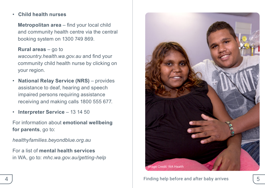#### • **Child health nurses**

**Metropolitan area** – find your local child and community health centre via the central booking system on 1300 749 869.

#### **Rural areas** – go to

*[wacountry.health.wa.gov.au](http://www.wacountry.health.wa.gov.au)* and find your community child health nurse by clicking on your region.

- **National Relay Service (NRS)** provides assistance to deaf, hearing and speech impaired persons requiring assistance receiving and making calls 1800 555 677.
- **Interpreter Service**  13 14 50

For information about **emotional wellbeing for parents**, go to:

*[healthyfamilies.beyondblue.org.au](https://healthyfamilies.beyondblue.org.au/)*

For a list of **mental health services** in WA, go to: *[mhc.wa.gov.au/getting-help](http://www.mhc.wa.gov.au/getting-help)*

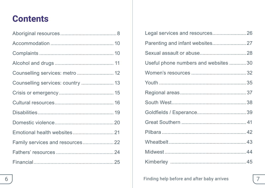## **Contents**

| Counselling services: metro  12   |  |
|-----------------------------------|--|
| Counselling services: country  13 |  |
|                                   |  |
|                                   |  |
|                                   |  |
|                                   |  |
|                                   |  |
| Family services and resources 22  |  |
|                                   |  |
|                                   |  |

| Legal services and resources 26      |  |
|--------------------------------------|--|
|                                      |  |
|                                      |  |
| Useful phone numbers and websites 30 |  |
|                                      |  |
|                                      |  |
|                                      |  |
|                                      |  |
|                                      |  |
|                                      |  |
|                                      |  |
|                                      |  |
|                                      |  |
|                                      |  |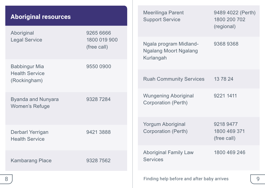<span id="page-4-0"></span>

| <b>Aboriginal resources</b>                            |                                          | Meerilinga Parent<br><b>Support Service</b>                  | 9489 4022 (Perth)<br>1800 200 702<br>(regional) |   |
|--------------------------------------------------------|------------------------------------------|--------------------------------------------------------------|-------------------------------------------------|---|
| Aboriginal<br>Legal Service                            | 9265 6666<br>1800 019 900<br>(free call) | Ngala program Midland-<br>Ngalang Moort Ngalang<br>Kurlangah | 93689368                                        |   |
| Babbingur Mia<br><b>Health Service</b><br>(Rockingham) | 9550 0900                                | <b>Ruah Community Services</b>                               | 13 78 24                                        |   |
| Byanda and Nunyara<br>Women's Refuge                   | 93287284                                 | Wungening Aboriginal<br>Corporation (Perth)                  | 9221 1411                                       |   |
| Derbarl Yerrigan<br><b>Health Service</b>              | 9421 3888                                | Yorgum Aboriginal<br>Corporation (Perth)                     | 9218 9477<br>1800 469 371<br>(free call)        |   |
| <b>Kambarang Place</b>                                 | 9328 7562                                | <b>Aboriginal Family Law</b><br><b>Services</b>              | 1800 469 246                                    |   |
| 8                                                      |                                          | Finding help before and after baby arrives                   |                                                 | 9 |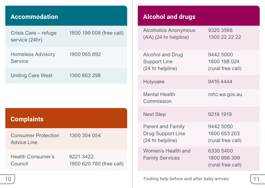## <span id="page-5-0"></span>**Accommodation**

| Crisis Care – refuge<br>service (24hr)    | 1800 199 008 (free call) |
|-------------------------------------------|--------------------------|
| Homeless Advisory<br>Service              | 1800 065 892             |
| Uniting Care West                         | 1300 663 298             |
|                                           |                          |
|                                           |                          |
|                                           |                          |
| <b>Complaints</b>                         |                          |
| <b>Consumer Protection</b><br>Advice Line | 1300 304 054             |

## **Alcohol and drugs**

| <b>Alcoholics Anonymous</b><br>$(AA)$ (24 hr helpline)            | 9325 3566<br>1300 22 22 22                     |
|-------------------------------------------------------------------|------------------------------------------------|
| Alcohol and Drug<br><b>Support Line</b><br>(24 hr helpline)       | 9442 5000<br>1800 198 024<br>(rural free call) |
| Holyoake                                                          | 94164444                                       |
| <b>Mental Health</b><br>Commission                                | mhc.wa.gov.au                                  |
| <b>Next Step</b>                                                  | 9219 1919                                      |
| <b>Parent and Family</b><br>Drug Support Line<br>(24 hr helpline) | 9442 5050<br>1800 653 203<br>(rural free call) |
| Women's Health and<br><b>Family Services</b>                      | 6330 5400<br>1800 998 399<br>(rural free call) |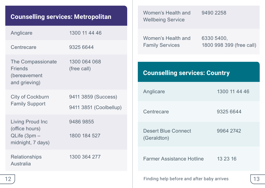## **Counselling services: Metropolitan**

| Anglicare                                                               | 1300 11 44 46                                 |
|-------------------------------------------------------------------------|-----------------------------------------------|
| Centrecare                                                              | 9325 6644                                     |
| The Compassionate<br><b>Friends</b><br>(bereavement<br>and grieving)    | 1300 064 068<br>(free call)                   |
| City of Cockburn<br><b>Family Support</b>                               | 9411 3859 (Success)<br>9411 3851 (Coolbellup) |
| Living Proud Inc<br>(office hours)<br>QLife (3pm -<br>midnight, 7 days) | 94869855<br>1800 184 527                      |
| Relationships<br>Australia                                              | 1300 364 277                                  |
|                                                                         |                                               |

<span id="page-6-0"></span>

| <b>Counselling services: Metropolitan</b>                     |                             | Women's Health and<br><b>Wellbeing Service</b> |  | 9490 2258                |    |
|---------------------------------------------------------------|-----------------------------|------------------------------------------------|--|--------------------------|----|
| Anglicare                                                     | 1300 11 44 46               | Women's Health and                             |  | 6330 5400,               |    |
| Centrecare                                                    | 9325 6644                   | <b>Family Services</b>                         |  | 1800 998 399 (free call) |    |
| The Compassionate<br>Friends<br>(bereavement<br>and grieving) | 1300 064 068<br>(free call) | <b>Counselling services: Country</b>           |  |                          |    |
| City of Cockburn                                              | 9411 3859 (Success)         | Anglicare                                      |  | 1300 11 44 46            |    |
| <b>Family Support</b>                                         | 9411 3851 (Coolbellup)      | Centrecare                                     |  | 9325 6644                |    |
| Living Proud Inc                                              | 9486 9855                   |                                                |  |                          |    |
| (office hours)<br>$QLife (3pm -$<br>midnight, 7 days)         | 1800 184 527                | Desert Blue Connect<br>(Geraldton)             |  | 9964 2742                |    |
| Relationships<br>Australia                                    | 1300 364 277                | Farmer Assistance Hotline                      |  | 13 23 16                 |    |
| 12 <sub>2</sub>                                               |                             | Finding help before and after baby arrives     |  |                          | 13 |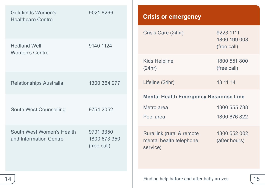<span id="page-7-0"></span>

| Goldfields Women's<br>90218266<br><b>Healthcare Centre</b> |                                          | <b>Crisis or emergency</b>                                                                        |  |  |
|------------------------------------------------------------|------------------------------------------|---------------------------------------------------------------------------------------------------|--|--|
|                                                            |                                          | Crisis Care (24hr)<br>9223 1111<br>1800 199 008                                                   |  |  |
| <b>Hedland Well</b><br>Women's Centre                      | 9140 1124                                | (free call)                                                                                       |  |  |
|                                                            |                                          | Kids Helpline<br>1800 551 800<br>(24hr)<br>(free call)                                            |  |  |
| Relationships Australia                                    | 1300 364 277                             | 13 11 14<br>Lifeline (24hr)                                                                       |  |  |
|                                                            |                                          | <b>Mental Health Emergency Response Line</b>                                                      |  |  |
| South West Counselling                                     | 9754 2052                                | 1300 555 788<br>Metro area<br>Peel area<br>1800 676 822                                           |  |  |
| South West Women's Health<br>and Information Centre        | 9791 3350<br>1800 673 350<br>(free call) | Rurallink (rural & remote<br>1800 552 002<br>mental health telephone<br>(after hours)<br>service) |  |  |
| 14                                                         |                                          | 15<br>Finding help before and after baby arrives                                                  |  |  |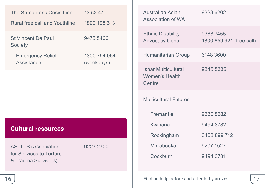<span id="page-8-0"></span>

| The Samaritans Crisis Line<br>Rural free call and Youthline                  | 13 52 47<br>1800 198 313                |
|------------------------------------------------------------------------------|-----------------------------------------|
| St Vincent De Paul<br>Society<br><b>Emergency Relief</b><br>Assistance       | 9475 5400<br>1300 794 054<br>(weekdays) |
|                                                                              |                                         |
| <b>Cultural resources</b>                                                    |                                         |
| <b>ASeTTS (Association</b><br>for Services to Torture<br>& Trauma Survivors) | 9227 2700                               |
|                                                                              |                                         |

| 9328 6202                            |
|--------------------------------------|
| 93887455<br>1800 659 921 (free call) |
| 6148 3600                            |
| 9345 5335                            |
|                                      |
| 93368282                             |
| 9494 3782                            |
| 0408 899 712                         |
| 9207 1527                            |
| 9494 3781                            |
|                                      |

Finding help before and after baby arrives 16 17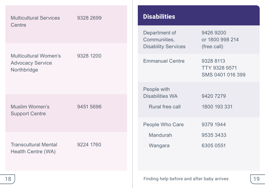<span id="page-9-0"></span>

| <b>Multicultural Services</b><br>Centre              | 9328 2699       | <b>Disabilities</b>                        |                                                |    |  |
|------------------------------------------------------|-----------------|--------------------------------------------|------------------------------------------------|----|--|
|                                                      |                 | Department of<br>Communities,              | 9426 9200<br>or 1800 998 214                   |    |  |
| Multicultural Women's                                |                 | <b>Disability Services</b>                 | (free call)                                    |    |  |
| <b>Advocacy Service</b><br>Northbridge               | 9328 1200       | <b>Emmanuel Centre</b>                     | 9328 8113<br>TTY 9328 9571<br>SMS 0401 016 399 |    |  |
|                                                      |                 | People with                                |                                                |    |  |
|                                                      |                 | Disabilities WA                            | 9420 7279                                      |    |  |
| Muslim Women's<br>9451 5696<br><b>Support Centre</b> | Rural free call | 1800 193 331                               |                                                |    |  |
|                                                      |                 | People Who Care                            | 9379 1944                                      |    |  |
|                                                      |                 | Mandurah                                   | 9535 3433                                      |    |  |
| <b>Transcultural Mental</b><br>Health Centre (WA)    | 9224 1760       | Wangara                                    | 6305 0551                                      |    |  |
| 18                                                   |                 | Finding help before and after baby arrives |                                                | 19 |  |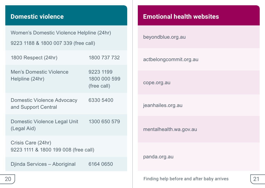## <span id="page-10-0"></span>**Domestic violence**

Women's Domestic Violence Helpline (24hr) 9223 1188 & 1800 007 339 (free call)

| 1800 Respect (24hr)                                        | 1800 737 732                             |
|------------------------------------------------------------|------------------------------------------|
| Men's Domestic Violence<br>Helpline (24hr)                 | 9223 1199<br>1800 000 599<br>(free call) |
| Domestic Violence Advocacy<br>and Support Central          | 6330 5400                                |
| Domestic Violence Legal Unit<br>(Legal Aid)                | 1300 650 579                             |
| Crisis Care (24hr)<br>9223 1111 & 1800 199 008 (free call) |                                          |
| Diinda Services – Aboriginal                               | 6164 0650                                |

## **Emotional health websites**

| beyondblue.org.au      |  |
|------------------------|--|
| actbelongcommit.org.au |  |
| cope.org.au            |  |
| jeanhailes.org.au      |  |
| mentalhealth.wa.gov.au |  |
| panda.org.au           |  |

Finding help before and after baby arrives 20 21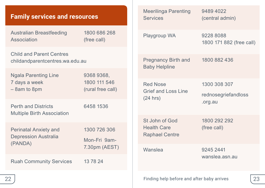<span id="page-11-0"></span>

| <b>Family services and resources</b>                                   |                                                 | <b>Meerilinga Parenting</b><br><b>Services</b>                | 9489 4022<br>(central admin)          |
|------------------------------------------------------------------------|-------------------------------------------------|---------------------------------------------------------------|---------------------------------------|
| <b>Australian Breastfeeding</b><br>Association                         | 1800 686 268<br>(free call)                     | Playgroup WA                                                  | 9228 8088<br>1800 171 882 (free call) |
| Child and Parent Centres<br>childandparentcentres.wa.edu.au            |                                                 | <b>Pregnancy Birth and</b><br><b>Baby Helpline</b>            | 1800 882 436                          |
| <b>Ngala Parenting Line</b><br>7 days a week<br>$-8$ am to 8pm         | 9368 9368,<br>1800 111 546<br>(rural free call) | Red Nose<br>Grief and Loss Line<br>(24 hrs)                   | 1300 308 307<br>rednosegriefandloss   |
| <b>Perth and Districts</b><br><b>Multiple Birth Association</b>        | 6458 1536                                       |                                                               | .org.au                               |
| <b>Perinatal Anxiety and</b><br><b>Depression Australia</b><br>(PANDA) | 1300 726 306<br>Mon-Fri 9am-                    | St John of God<br><b>Health Care</b><br><b>Raphael Centre</b> | 1800 292 292<br>(free call)           |
| <b>Ruah Community Services</b>                                         | 7.30pm (AEST)<br>13 78 24                       | Wanslea                                                       | 9245 2441<br>wanslea.asn.au           |
| 22                                                                     |                                                 | Finding help before and after baby arrives                    | 23                                    |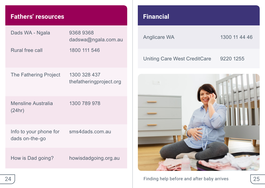## <span id="page-12-0"></span>**Fathers' resources**

| Dads WA - Ngala                          | 9368 9368<br>dadswa@ngala.com.au        |  |
|------------------------------------------|-----------------------------------------|--|
| Rural free call                          | 1800 111 546                            |  |
| The Fathering Project                    | 1300 328 437<br>thefatheringproject.org |  |
| Mensline Australia<br>(24hr)             | 1300 789 978                            |  |
| Info to your phone for<br>dads on-the-go | sms4dads.com.au                         |  |
| How is Dad going?                        | howisdadgoing.org.au                    |  |

## **Financial**

Anglicare WA 1300 11 44 46

Uniting Care West CreditCare 9220 1255

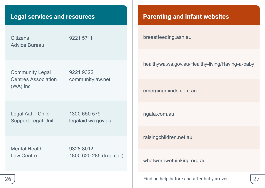#### <span id="page-13-0"></span>**Legal services and resources**

**Citizens** Advice Bureau 9221 5711

Community Legal Centres Association (WA) Inc

9221 9322 [communitylaw.net](http://www.communitylaw.net)

Legal Aid – Child Support Legal Unit 1300 650 579 [legalaid.wa.gov.au](http://www.legalaid.wa.gov.au)

Mental Health Law Centre

9328 8012 1800 620 285 (free call)

#### **Parenting and infant websites**

[breastfeeding.asn.au](http://www.breastfeeding.asn.au)

[healthywa.wa.gov.au/Healthy-living/Having-a-baby](https://www.healthywa.wa.gov.au/Healthy-living/Having-a-baby)

[emergingminds.com.au](http://www.emergingminds.com.au)

[ngala.com.au](http://www.ngala.com.au)

[raisingchildren.net.au](http://www.raisingchildren.net.au)

[whatwerewethinking.org.au](http://www.whatwerewethinking.org.au)

Finding help before and after baby arrives 26 27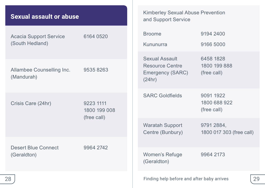<span id="page-14-0"></span>

|  |  | Sexual assault or abuse |
|--|--|-------------------------|
|--|--|-------------------------|

| Acacia Support Service<br>(South Hedland) | 6164 0520                                | <b>Broome</b><br>Kununurra                                      | 9194 2400<br>9166 5000                   |
|-------------------------------------------|------------------------------------------|-----------------------------------------------------------------|------------------------------------------|
| Allambee Counselling Inc.<br>(Mandurah)   | 95358263                                 | Sexual Assault<br>Resource Centre<br>Emergency (SARC)<br>(24hr) | 6458 1828<br>1800 199 888<br>(free call) |
| Crisis Care (24hr)                        | 9223 1111<br>1800 199 008<br>(free call) | <b>SARC Goldfields</b>                                          | 9091 1922<br>1800 688 922<br>(free call) |
|                                           |                                          | Waratah Support<br>Centre (Bunbury)                             | 9791 2884,<br>1800 017 303 (free call)   |
| Desert Blue Connect<br>(Geraldton)        | 9964 2742                                | Women's Refuge<br>(Geraldton)                                   | 9964 2173                                |
| 28                                        |                                          | Finding help before and after baby arrives                      | 29                                       |

Kimberley Sexual Abuse Prevention

and Support Service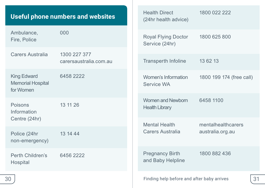## <span id="page-15-0"></span>**Useful phone numbers and websites**

| Ambulance,<br>Fire, Police                           | 000                                    | Royal Flying Doctor<br>Service (24hr)       | 1800 625 800             |    |
|------------------------------------------------------|----------------------------------------|---------------------------------------------|--------------------------|----|
| Carers Australia                                     | 1300 227 377<br>carersaustralia.com.au | <b>Transperth Infoline</b>                  | 13 62 13                 |    |
| King Edward<br><b>Memorial Hospital</b><br>for Women | 6458 2222                              | Women's Information<br>Service WA           | 1800 199 174 (free call) |    |
| Poisons<br>Information                               | 13 11 26                               | Women and Newborn<br><b>Health Library</b>  | 6458 1100                |    |
| Centre (24hr)                                        |                                        | <b>Mental Health</b>                        | mentalhealthcarers       |    |
| Police (24hr<br>non-emergency)                       | 13 14 44                               | Carers Australia                            | australia.org.au         |    |
| Perth Children's<br>Hospital                         | 6456 2222                              | <b>Pregnancy Birth</b><br>and Baby Helpline | 1800 882 436             |    |
| 30                                                   |                                        | Finding help before and after baby arrives  |                          | 31 |

Health Direct (24hr health advice) 1800 022 222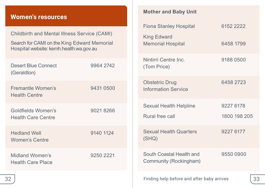## <span id="page-16-0"></span>**Women's resources**

| Childbirth and Mental Illness Service (CAMI)<br>Search for CAMI on the King Edward Memorial<br>Hospital website: kemh.health.wa.gov.au |           |  |
|----------------------------------------------------------------------------------------------------------------------------------------|-----------|--|
| <b>Desert Blue Connect</b><br>(Geraldton)                                                                                              | 9964 2742 |  |
| Fremantle Women's<br><b>Health Centre</b>                                                                                              | 9431 0500 |  |
| Goldfields Women's<br>Health Care Centre                                                                                               | 90218266  |  |
| <b>Hedland Well</b><br><b>Women's Centre</b>                                                                                           | 9140 1124 |  |
| Midland Women's<br>Health Care Place                                                                                                   | 9250 2221 |  |

#### **Mother and Baby Unit**

| <b>Fiona Stanley Hospital</b>                      | 6152 2222    |
|----------------------------------------------------|--------------|
| King Edward<br><b>Memorial Hospital</b>            | 6458 1799    |
| Nintirri Centre Inc.<br>(Tom Price)                | 9188 0500    |
| Obstetric Drug<br><b>Information Service</b>       | 6458 2723    |
| <b>Sexual Health Helpline</b>                      | 9227 6178    |
| Rural free call                                    | 1800 198 205 |
| <b>Sexual Health Quarters</b><br>(SHQ)             | 9227 6177    |
| South Coastal Health and<br>Community (Rockingham) | 9550 0900    |
|                                                    |              |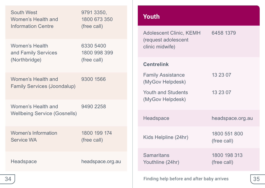<span id="page-17-0"></span>

| South West<br>Women's Health and                  | 9791 3350,<br>1800 673 350<br><b>Information Centre</b><br>(free call) | <b>Youth</b>                                                         |    |
|---------------------------------------------------|------------------------------------------------------------------------|----------------------------------------------------------------------|----|
|                                                   |                                                                        | Adolescent Clinic, KEMH<br>6458 1379                                 |    |
| Women's Health<br>and Family Services             | 6330 5400<br>1800 998 399<br>(free call)                               | (request adolescent<br>clinic midwife)                               |    |
| (Northbridge)                                     |                                                                        | <b>Centrelink</b>                                                    |    |
| Women's Health and<br>Family Services (Joondalup) | 9300 1566                                                              | <b>Family Assistance</b><br>13 23 07<br>(MyGov Helpdesk)             |    |
|                                                   |                                                                        | Youth and Students<br>13 23 07<br>(MyGov Helpdesk)                   |    |
| Women's Health and                                | 9490 2258                                                              |                                                                      |    |
| <b>Wellbeing Service (Gosnells)</b>               |                                                                        | Headspace<br>headspace.org.au                                        |    |
| Women's Information<br><b>Service WA</b>          | 1800 199 174<br>(free call)                                            | 1800 551 800<br>Kids Helpline (24hr)<br>(free call)                  |    |
| Headspace                                         | headspace.org.au                                                       | <b>Samaritans</b><br>1800 198 313<br>Youthline (24hr)<br>(free call) |    |
| 34                                                |                                                                        | Finding help before and after baby arrives                           | 35 |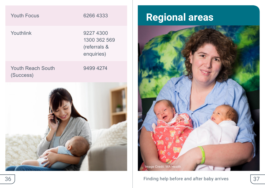<span id="page-18-0"></span>

| <b>Youth Focus</b>                    | 6266 4333                                               |
|---------------------------------------|---------------------------------------------------------|
| Youthlink                             | 9227 4300<br>1300 362 569<br>(referrals &<br>enquiries) |
| <b>Youth Reach South</b><br>(Success) | 9499 4274                                               |
|                                       |                                                         |

# **Regional areas**

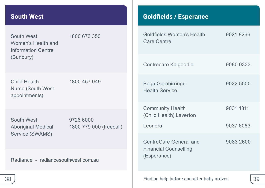#### <span id="page-19-0"></span>**South West**

South West Women's Health and Information Centre (Bunbury) 1800 673 350

Nurse (South West appointments)

Child Health 1800 457 949

South West Service (SWAMS)

Aboriginal Medical 1800 779 000 (freecall) 9726 6000

Radiance - [radiancesouthwest.com.au](http://www.radiancesouthwest.com.au)

#### **Goldfields / Esperance**

| Goldfields Women's Health<br><b>Care Centre</b>                       | 9021 8266 |
|-----------------------------------------------------------------------|-----------|
| Centrecare Kalgoorlie                                                 | 9080 0333 |
| Bega Garnbirringu<br><b>Health Service</b>                            | 9022 5500 |
| <b>Community Health</b><br>(Child Health) Laverton                    | 9031 1311 |
| Leonora                                                               | 9037 6083 |
| CentreCare General and<br><b>Financial Counselling</b><br>(Esperance) | 9083 2600 |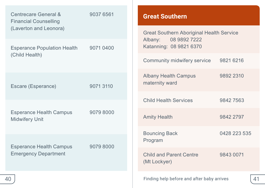<span id="page-20-0"></span>

| Centrecare General &<br>9037 6561<br><b>Financial Counselling</b>         | <b>Great Southern</b>                                      |                                                                            |
|---------------------------------------------------------------------------|------------------------------------------------------------|----------------------------------------------------------------------------|
| (Laverton and Leonora)                                                    |                                                            | <b>Great Southern Aboriginal Health Service</b><br>08 9892 7222<br>Albany: |
| <b>Esperance Population Health</b><br>(Child Health)                      | 9071 0400                                                  | Katanning: 08 9821 6370                                                    |
|                                                                           |                                                            | Community midwifery service<br>9821 6216                                   |
| 9071 3110<br>Escare (Esperance)                                           | 9892 2310<br><b>Albany Health Campus</b><br>maternity ward |                                                                            |
|                                                                           | <b>Child Health Services</b><br>98427563                   |                                                                            |
| <b>Esperance Health Campus</b><br><b>Midwifery Unit</b>                   | 9079 8000                                                  | <b>Amity Health</b><br>9842 2797                                           |
| <b>Esperance Health Campus</b><br>90798000<br><b>Emergency Department</b> | <b>Bouncing Back</b><br>0428 223 535<br>Program            |                                                                            |
|                                                                           | Child and Parent Centre<br>9843 0071<br>(Mt Lockyer)       |                                                                            |
| 40                                                                        |                                                            | Finding help before and after baby arrives<br>41                           |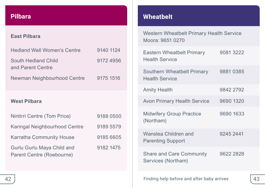## <span id="page-21-0"></span>**Pilbara**

#### **East Pilbara**

| Hedland Well Women's Centre              | 9140 1124 |
|------------------------------------------|-----------|
| South Hedland Child<br>and Parent Centre | 91724956  |
| Newman Neighbourhood Centre              | 9175 1516 |
| <b>West Pilbara</b>                      |           |
| Nintirri Centre (Tom Price)              | 9188 0500 |
| Karingal Neighbourhood Centre            | 9189 5579 |
|                                          |           |
| Karratha Community House                 | 9185 6605 |

## **Wheatbelt**

Western Wheatbelt Primary Health Service Moora: 9651 0270

| Eastern Wheatbelt Primary<br><b>Health Service</b>  | 90813222  |
|-----------------------------------------------------|-----------|
| Southern Wheatbelt Primary<br><b>Health Service</b> | 9881 0385 |
| <b>Amity Health</b>                                 | 9842 2792 |
| <b>Avon Primary Health Service</b>                  | 9690 1320 |
| <b>Midwifery Group Practice</b><br>(Northam)        | 9690 1633 |
| Wanslea Children and<br><b>Parenting Support</b>    | 9245 2441 |
| Share and Care Community<br>Services (Northam)      | 9622 2828 |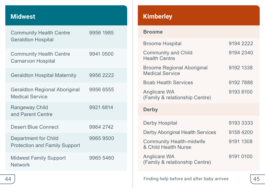## <span id="page-22-0"></span>**Midwest**

| <b>Community Health Centre</b><br><b>Geraldton Hospital</b>    | 9956 1985 |
|----------------------------------------------------------------|-----------|
| <b>Community Health Centre</b><br>Carnarvon Hospital           | 9941 0500 |
| <b>Geraldton Hospital Maternity</b>                            | 9956 2222 |
| <b>Geraldton Regional Aboriginal</b><br><b>Medical Service</b> | 9956 6555 |
| Rangeway Child<br>and Parent Centre                            | 9921 6814 |
| Desert Blue Connect                                            | 9964 2742 |
| Department for Child<br><b>Protection and Family Support</b>   | 99659500  |
| <b>Midwest Family Support</b><br><b>Network</b>                | 9965 5460 |

## **Kimberley**

#### **Broome**

| <b>Broome Hospital</b>                                  | 9194 2222 |
|---------------------------------------------------------|-----------|
| <b>Community and Child</b><br><b>Health Centre</b>      | 9194 2340 |
| Broome Regional Aboriginal<br><b>Medical Service</b>    | 9192 1338 |
| <b>Boab Health Services</b>                             | 91927888  |
| Anglicare WA<br>(Family & relationship Centre)          | 91938100  |
| <b>Derby</b>                                            |           |
| Derby Hospital                                          |           |
|                                                         | 9193 3333 |
| Derby Aboriginal Health Services                        | 9158 4200 |
| <b>Community Health-midwife</b><br>& Child Health Nurse | 9191 1308 |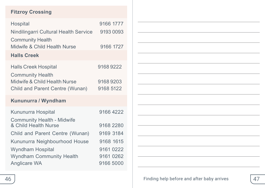#### **Fitzroy Crossing**

| Hospital                              | 9166 1777 |
|---------------------------------------|-----------|
| Nindilingarri Cultural Health Service | 9193 0093 |
| <b>Community Health</b>               |           |
| Midwife & Child Health Nurse          | 9166 1727 |
| <b>Halls Creek</b>                    |           |
| <b>Halls Creek Hospital</b>           | 91689222  |
| <b>Community Health</b>               |           |
| Midwife & Child Health Nurse          | 91689203  |
| Child and Parent Centre (Wunan)       | 9168 5122 |
| Kununurra / Wyndham                   |           |
| Kununurra Hospital                    | 9166 4222 |
| <b>Community Health - Midwife</b>     |           |
| & Child Health Nurse                  | 9168 2280 |
| Child and Parent Centre (Wunan)       | 9169 3184 |
| Kununurra Neighbourhood House         | 9168 1615 |
| Wyndham Hospital                      | 9161 0222 |
| <b>Wyndham Community Health</b>       | 9161 0262 |
| Anglicare WA                          | 9166 5000 |